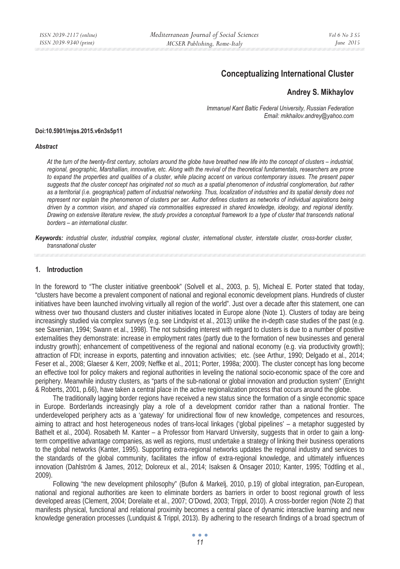# **Conceptualizing International Cluster**

## **Andrey S. Mikhaylov**

*Immanuel Kant Baltic Federal University, Russian Federation Email: mikhailov.andrey@yahoo.com* 

#### **Doi:10.5901/mjss.2015.v6n3s5p11**

#### *Abstract*

*At the turn of the twenty-first century, scholars around the globe have breathed new life into the concept of clusters – industrial, regional, geographic, Marshallian, innovative, etc. Along with the revival of the theoretical fundamentals, researchers are prone to expand the properties and qualities of a cluster, while placing accent on various contemporary issues. The present paper suggests that the cluster concept has originated not so much as a spatial phenomenon of industrial conglomeration, but rather*  as a territorial (i.e. geographical) pattern of industrial networking. Thus, localization of industries and its spatial density does not *represent nor explain the phenomenon of clusters per ser. Author defines clusters as networks of individual aspirations being driven by a common vision, and shaped via commonalities expressed in shared knowledge, ideology, and regional identity. Drawing on extensive literature review, the study provides a conceptual framework to a type of cluster that transcends national borders – an international cluster.* 

*Keywords: industrial cluster, industrial complex, regional cluster, international cluster, interstate cluster, cross-border cluster, transnational cluster* 

#### **1. Introduction**

In the foreword to "The cluster initiative greenbook" (Solvell et al., 2003, p. 5), Micheal E. Porter stated that today, "clusters have become a prevalent component of national and regional economic development plans. Hundreds of cluster initiatives have been launched involving virtually all region of the world". Just over a decade after this statement, one can witness over two thousand clusters and cluster initiatives located in Europe alone (Note 1). Clusters of today are being increasingly studied via complex surveys (e.g. see Lindqvist et al., 2013) unlike the in-depth case studies of the past (e.g. see Saxenian, 1994; Swann et al., 1998). The not subsiding interest with regard to clusters is due to a number of positive externalities they demonstrate: increase in employment rates (partly due to the formation of new businesses and general industry growth); enhancement of competitiveness of the regional and national economy (e.g. via productivity growth); attraction of FDI; increase in exports, patenting and innovation activities; etc. (see Arthur, 1990; Delgado et al., 2014; Feser et al., 2008; Glaeser & Kerr, 2009; Neffke et al., 2011; Porter, 1998a; 2000). The cluster concept has long become an effective tool for policy makers and regional authorities in leveling the national socio-economic space of the core and periphery. Meanwhile industry clusters, as "parts of the sub-national or global innovation and production system" (Enright & Roberts, 2001, p.66), have taken a central place in the active regionalization process that occurs around the globe.

The traditionally lagging border regions have received a new status since the formation of a single economic space in Europe. Borderlands increasingly play a role of a development corridor rather than a national frontier. The underdeveloped periphery acts as a 'gateway' for unidirectional flow of new knowledge, competences and resources, aiming to attract and host heterogeneous nodes of trans-local linkages ('global pipelines' – a metaphor suggested by Bathelt et al., 2004). Rosabeth M. Kanter – a Professor from Harvard University, suggests that in order to gain a longterm competitive advantage companies, as well as regions, must undertake a strategy of linking their business operations to the global networks (Kanter, 1995). Supporting extra-regional networks updates the regional industry and services to the standards of the global community, facilitates the inflow of extra-regional knowledge, and ultimately influences innovation (Dahlström & James, 2012; Doloreux et al., 2014; Isaksen & Onsager 2010; Kanter, 1995; Tödtling et al., 2009).

Following "the new development philosophy" (Bufon & Markelj, 2010, p.19) of global integration, pan-European, national and regional authorities are keen to eliminate borders as barriers in order to boost regional growth of less developed areas (Clement, 2004; Dorelaite et al., 2007; O'Dowd, 2003; Trippl, 2010). A cross-border region (Note 2) that manifests physical, functional and relational proximity becomes a central place of dynamic interactive learning and new knowledge generation processes (Lundquist & Trippl, 2013). By adhering to the research findings of a broad spectrum of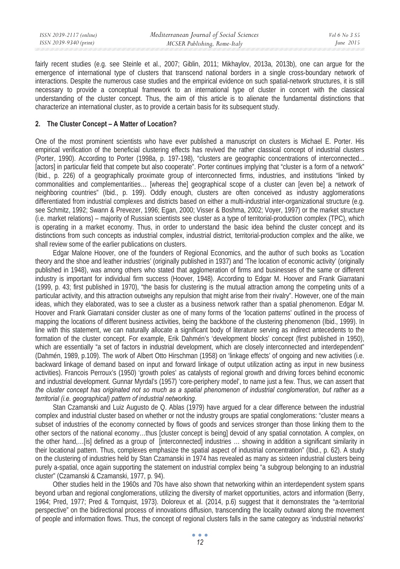| ISSN 2039-2117 (online) | Mediterranean Journal of Social Sciences | Vol 6 No. 3 S5 |
|-------------------------|------------------------------------------|----------------|
| ISSN 2039-9340 (print)  | MCSER Publishing, Rome-Italy             | June $2015$    |
|                         |                                          |                |

fairly recent studies (e.g. see Steinle et al., 2007; Giblin, 2011; Mikhaylov, 2013a, 2013b), one can argue for the emergence of international type of clusters that transcend national borders in a single cross-boundary network of interactions. Despite the numerous case studies and the empirical evidence on such spatial-network structures, it is still necessary to provide a conceptual framework to an international type of cluster in concert with the classical understanding of the cluster concept. Thus, the aim of this article is to alienate the fundamental distinctions that characterize an international cluster, as to provide a certain basis for its subsequent study.

## **2. The Cluster Concept – A Matter of Location?**

One of the most prominent scientists who have ever published a manuscript on clusters is Michael E. Porter. His empirical verification of the beneficial clustering effects has revived the rather classical concept of industrial clusters (Porter, 1990). According to Porter (1998a, p. 197-198), "clusters are geographic concentrations of interconnected... [actors] in particular field that compete but also cooperate". Porter continues implying that "cluster is a form of a network" (Ibid., p. 226) of a geographically proximate group of interconnected firms, industries, and institutions "linked by commonalities and complementarities… [whereas the] geographical scope of a cluster can [even be] a network of neighboring countries" (Ibid., p. 199). Oddly enough, clusters are often conceived as industry agglomerations differentiated from industrial complexes and districts based on either a multi-industrial inter-organizational structure (e.g. see Schmitz, 1992; Swann & Prevezer, 1996; Egan, 2000; Visser & Boshma, 2002; Voyer, 1997) or the market structure (i.e. market relations) – majority of Russian scientists see cluster as a type of territorial-production complex (TPC), which is operating in a market economy. Thus, in order to understand the basic idea behind the cluster concept and its distinctions from such concepts as industrial complex, industrial district, territorial-production complex and the alike, we shall review some of the earlier publications on clusters.

Edgar Malone Hoover, one of the founders of Regional Economics, and the author of such books as 'Location theory and the shoe and leather industries' (originally published in 1937) and 'The location of economic activity' (originally published in 1948), was among others who stated that agglomeration of firms and businesses of the same or different industry is important for individual firm success (Hoover, 1948). According to Edgar M. Hoover and Frank Giarratani (1999, p. 43; first published in 1970), "the basis for clustering is the mutual attraction among the competing units of a particular activity, and this attraction outweighs any repulsion that might arise from their rivalry". However, one of the main ideas, which they elaborated, was to see a cluster as a business network rather than a spatial phenomenon. Edgar M. Hoover and Frank Giarratani consider cluster as one of many forms of the 'location patterns' outlined in the process of mapping the locations of different business activities, being the backbone of the clustering phenomenon (Ibid., 1999). In line with this statement, we can naturally allocate a significant body of literature serving as indirect antecedents to the formation of the cluster concept. For example, Erik Dahmén's 'development blocks' concept (first published in 1950), which are essentially "a set of factors in industrial development, which are closely interconnected and interdependent" (Dahmén, 1989, p.109). The work of Albert Otto Hirschman (1958) on 'linkage effects' of ongoing and new activities (i.e. backward linkage of demand based on input and forward linkage of output utilization acting as input in new business activities). Francois Perroux's (1950) 'growth poles' as catalysts of regional growth and driving forces behind economic and industrial development. Gunnar Myrdal's (1957) 'core-periphery model', to name just a few. Thus, we can assert that *the cluster concept has originated not so much as a spatial phenomenon of industrial conglomeration, but rather as a territorial (i.e. geographical) pattern of industrial networking*.

Stan Czamanski and Luiz Augusto de Q. Ablas (1979) have argued for a clear difference between the industrial complex and industrial cluster based on whether or not the industry groups are spatial conglomerations: "cluster means a subset of industries of the economy connected by flows of goods and services stronger than those linking them to the other sectors of the national economy…thus [cluster concept is being] devoid of any spatial connotation. A complex, on the other hand,…[is] defined as a group of [interconnected] industries … showing in addition a significant similarity in their locational pattern. Thus, complexes emphasize the spatial aspect of industrial concentration" (Ibid., p. 62). A study on the clustering of industries held by Stan Czamanski in 1974 has revealed as many as sixteen industrial clusters being purely a-spatial, once again supporting the statement on industrial complex being "a subgroup belonging to an industrial cluster" (Czamanski & Czamanski, 1977, p. 94).

Other studies held in the 1960s and 70s have also shown that networking within an interdependent system spans beyond urban and regional conglomerations, utilizing the diversity of market opportunities, actors and information (Berry, 1964; Pred, 1977; Pred & Tornquist, 1973). Doloreux et al. (2014, p.6) suggest that it demonstrates the "a-territorial perspective" on the bidirectional process of innovations diffusion, transcending the locality outward along the movement of people and information flows. Thus, the concept of regional clusters falls in the same category as 'industrial networks'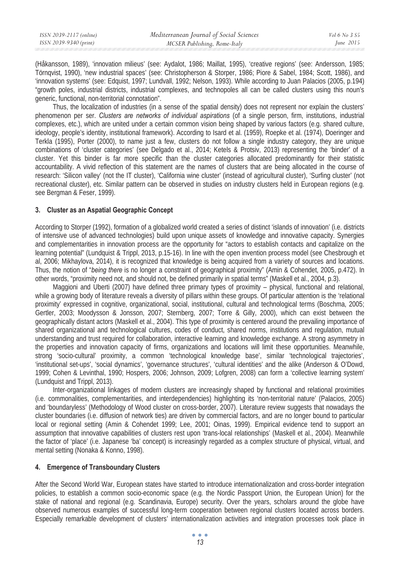| ISSN 2039-2117 (online) | Mediterranean Journal of Social Sciences | Vol 6 No. 3 S5 |
|-------------------------|------------------------------------------|----------------|
| ISSN 2039-9340 (print)  | MCSER Publishing, Rome-Italy             | June $2015$    |
|                         |                                          |                |

(Håkansson, 1989), 'innovation milieus' (see: Aydalot, 1986; Maillat, 1995), 'creative regions' (see: Andersson, 1985; Törnqvist, 1990), 'new industrial spaces' (see: Christopherson & Storper, 1986; Piore & Sabel, 1984; Scott, 1986), and 'innovation systems' (see: Edquist, 1997; Lundvall, 1992; Nelson, 1993). While according to Juan Palacios (2005, p.194) "growth poles, industrial districts, industrial complexes, and technopoles all can be called clusters using this noun's generic, functional, non-territorial connotation".

Thus, the localization of industries (in a sense of the spatial density) does not represent nor explain the clusters' phenomenon per ser. *Clusters are networks of individual aspirations* (of a single person, firm, institutions, industrial complexes, etc.), which are united under a certain common vision being shaped by various factors (e.g. shared culture, ideology, people's identity, institutional framework). According to Isard et al. (1959), Roepke et al. (1974), Doeringer and Terkla (1995), Porter (2000), to name just a few, clusters do not follow a single industry category, they are unique combinations of 'cluster categories' (see Delgado et al., 2014; Ketels & Protsiv, 2013) representing the 'binder' of a cluster. Yet this binder is far more specific than the cluster categories allocated predominantly for their statistic accountability. A vivid reflection of this statement are the names of clusters that are being allocated in the course of research: 'Silicon valley' (not the IT cluster), 'California wine cluster' (instead of agricultural cluster), 'Surfing cluster' (not recreational cluster), etc. Similar pattern can be observed in studies on industry clusters held in European regions (e.g. see Bergman & Feser, 1999).

## **3. Cluster as an Aspatial Geographic Concept**

According to Storper (1992), formation of a globalized world created a series of distinct 'islands of innovation' (i.e. districts of intensive use of advanced technologies) build upon unique assets of knowledge and innovative capacity. Synergies and complementarities in innovation process are the opportunity for "actors to establish contacts and capitalize on the learning potential" (Lundquist & Trippl, 2013, p.15-16). In line with the open invention process model (see Chesbrough et al, 2006; Mikhaylova, 2014), it is recognized that knowledge is being acquired from a variety of sources and locations. Thus, the notion of "*being there* is no longer a constraint of geographical proximity" (Amin & Cohendet, 2005, p.472). In other words, "proximity need not, and should not, be defined primarily in spatial terms" (Maskell et al., 2004, p.3).

Maggioni and Uberti (2007) have defined three primary types of proximity – physical, functional and relational, while a growing body of literature reveals a diversity of pillars within these groups. Of particular attention is the 'relational proximity' expressed in cognitive, organizational, social, institutional, cultural and technological terms (Boschma, 2005; Gertler, 2003; Moodysson & Jonsson, 2007; Sternberg, 2007; Torre & Gilly, 2000), which can exist between the geographically distant actors (Maskell et al., 2004). This type of proximity is centered around the prevailing importance of shared organizational and technological cultures, codes of conduct, shared norms, institutions and regulation, mutual understanding and trust required for collaboration, interactive learning and knowledge exchange. A strong asymmetry in the properties and innovation capacity of firms, organizations and locations will limit these opportunities. Meanwhile, strong 'socio-cultural' proximity, a common 'technological knowledge base', similar 'technological trajectories', 'institutional set-ups', 'social dynamics', 'governance structures', 'cultural identities' and the alike (Anderson & O'Dowd, 1999; Cohen & Levinthal, 1990; Hospers, 2006; Johnson, 2009; Lofgren, 2008) can form a 'collective learning system' (Lundquist and Trippl, 2013).

Inter-organizational linkages of modern clusters are increasingly shaped by functional and relational proximities (i.e. commonalities, complementarities, and interdependencies) highlighting its 'non-territorial nature' (Palacios, 2005) and 'boundaryless' (Methodology of Wood cluster on cross-border, 2007). Literature review suggests that nowadays the cluster boundaries (i.e. diffusion of network ties) are driven by commercial factors, and are no longer bound to particular local or regional setting (Amin & Cohendet 1999; Lee, 2001; Oinas, 1999). Empirical evidence tend to support an assumption that innovative capabilities of clusters rest upon 'trans-local relationships' (Maskell et al., 2004). Meanwhile the factor of 'place' (i.e. Japanese 'ba' concept) is increasingly regarded as a complex structure of physical, virtual, and mental setting (Nonaka & Konno, 1998).

## **4. Emergence of Transboundary Clusters**

After the Second World War, European states have started to introduce internationalization and cross-border integration policies, to establish a common socio-economic space (e.g. the Nordic Passport Union, the European Union) for the stake of national and regional (e.g. Scandinavia, Europe) security. Over the years, scholars around the globe have observed numerous examples of successful long-term cooperation between regional clusters located across borders. Especially remarkable development of clusters' internationalization activities and integration processes took place in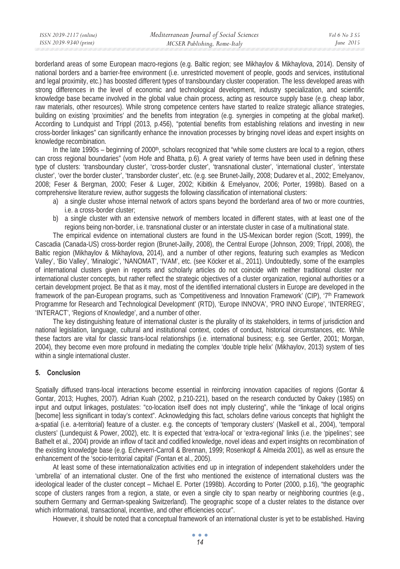| ISSN 2039-2117 (online) | Mediterranean Journal of Social Sciences | Vol 6 No 3 S5 |
|-------------------------|------------------------------------------|---------------|
| ISSN 2039-9340 (print)  | MCSER Publishing, Rome-Italy             | June $2015$   |
|                         |                                          |               |

borderland areas of some European macro-regions (e.g. Baltic region; see Mikhaylov & Mikhaylova, 2014). Density of national borders and a barrier-free environment (i.e. unrestricted movement of people, goods and services, institutional and legal proximity, etc.) has boosted different types of transboundary cluster cooperation. The less developed areas with strong differences in the level of economic and technological development, industry specialization, and scientific knowledge base became involved in the global value chain process, acting as resource supply base (e.g. cheap labor, raw materials, other resources). While strong competence centers have started to realize strategic alliance strategies, building on existing 'proximities' and the benefits from integration (e.g. synergies in competing at the global market). According to Lundquist and Trippl (2013, p.456), "potential benefits from establishing relations and investing in new cross-border linkages" can significantly enhance the innovation processes by bringing novel ideas and expert insights on knowledge recombination.

In the late 1990s – beginning of 2000<sup>th</sup>, scholars recognized that "while some clusters are local to a region, others can cross regional boundaries" (vom Hofe and Bhatta, p.6). A great variety of terms have been used in defining these type of clusters: 'transboundary cluster', 'cross-border cluster', 'transnational cluster', 'international cluster', 'interstate cluster', 'over the border cluster', 'transborder cluster', etc. (e.g. see Brunet-Jailly, 2008; Dudarev et al., 2002; Emelyanov, 2008; Feser & Bergman, 2000; Feser & Luger, 2002; Kibitkin & Emelyanov, 2006; Porter, 1998b). Based on a comprehensive literature review, author suggests the following classification of international clusters:

- a) a single cluster whose internal network of actors spans beyond the borderland area of two or more countries, i.e. a cross-border cluster;
- b) a single cluster with an extensive network of members located in different states, with at least one of the regions being non-border, i.e. transnational cluster or an interstate cluster in case of a multinational state.

The empirical evidence on international clusters are found in the US-Mexican border region (Scott, 1999), the Cascadia (Canada-US) cross-border region (Brunet-Jailly, 2008), the Central Europe (Johnson, 2009; Trippl, 2008), the Baltic region (Mikhaylov & Mikhaylova, 2014), and a number of other regions, featuring such examples as 'Medicon Valley', 'Bio Valley', 'Minalogic', 'NANOMAT', 'IVAM', etc. (see Köcker et al., 2011). Undoubtedly, some of the examples of international clusters given in reports and scholarly articles do not coincide with neither traditional cluster nor international cluster concepts, but rather reflect the strategic objectives of a cluster organization, regional authorities or a certain development project. Be that as it may, most of the identified international clusters in Europe are developed in the framework of the pan-European programs, such as 'Competitiveness and Innovation Framework' (CIP), '7th Framework Programme for Research and Technological Development' (RTD), 'Europe INNOVA', 'PRO INNO Europe', 'INTERREG', 'INTERACT', 'Regions of Knowledge', and a number of other.

The key distinguishing feature of international cluster is the plurality of its stakeholders, in terms of jurisdiction and national legislation, language, cultural and institutional context, codes of conduct, historical circumstances, etc. While these factors are vital for classic trans-local relationships (i.e. international business; e.g. see Gertler, 2001; Morgan, 2004), they become even more profound in mediating the complex 'double triple helix' (Mikhaylov, 2013) system of ties within a single international cluster.

## **5. Conclusion**

Spatially diffused trans-local interactions become essential in reinforcing innovation capacities of regions (Gontar & Gontar, 2013; Hughes, 2007). Adrian Kuah (2002, p.210-221), based on the research conducted by Oakey (1985) on input and output linkages, postulates: "co-location itself does not imply clustering", while the "linkage of local origins [become] less significant in today's context". Acknowledging this fact, scholars define various concepts that highlight the a-spatial (i.e. a-territorial) feature of a cluster. e.g. the concepts of 'temporary clusters' (Maskell et al., 2004), 'temporal clusters' (Lundequist & Power, 2002), etc. It is expected that 'extra-local' or 'extra-regional' links (i.e. the 'pipelines'; see Bathelt et al., 2004) provide an inflow of tacit and codified knowledge, novel ideas and expert insights on recombination of the existing knowledge base (e.g. Echeverri-Carroll & Brennan, 1999; Rosenkopf & Almeida 2001), as well as ensure the enhancement of the 'socio-territorial capital' (Fontan et al., 2005).

At least some of these internationalization activities end up in integration of independent stakeholders under the 'umbrella' of an international cluster. One of the first who mentioned the existence of international clusters was the ideological leader of the cluster concept – Michael E. Porter (1998b). According to Porter (2000, p.16), "the geographic scope of clusters ranges from a region, a state, or even a single city to span nearby or neighboring countries (e.g., southern Germany and German-speaking Switzerland). The geographic scope of a cluster relates to the distance over which informational, transactional, incentive, and other efficiencies occur".

However, it should be noted that a conceptual framework of an international cluster is yet to be established. Having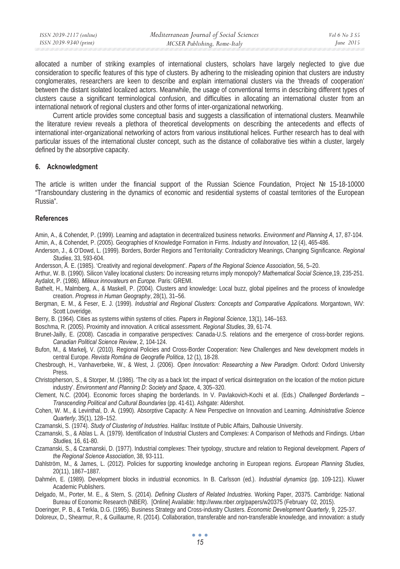| ISSN 2039-2117 (online) | Mediterranean Journal of Social Sciences | <i>Vol</i> 6 No 3 S5 |
|-------------------------|------------------------------------------|----------------------|
| ISSN 2039-9340 (print)  | MCSER Publishing, Rome-Italy             | June $2015$          |

allocated a number of striking examples of international clusters, scholars have largely neglected to give due consideration to specific features of this type of clusters. By adhering to the misleading opinion that clusters are industry conglomerates, researchers are keen to describe and explain international clusters via the 'threads of cooperation' between the distant isolated localized actors. Meanwhile, the usage of conventional terms in describing different types of clusters cause a significant terminological confusion, and difficulties in allocating an international cluster from an international network of regional clusters and other forms of inter-organizational networking.

Current article provides some conceptual basis and suggests a classification of international clusters. Meanwhile the literature review reveals a plethora of theoretical developments on describing the antecedents and effects of international inter-organizational networking of actors from various institutional helices. Further research has to deal with particular issues of the international cluster concept, such as the distance of collaborative ties within a cluster, largely defined by the absorptive capacity.

## **6. Acknowledgment**

The article is written under the financial support of the Russian Science Foundation, Project  $N<sup>2</sup>$  15-18-10000 "Transboundary clustering in the dynamics of economic and residential systems of coastal territories of the European Russia".

## **References**

Amin, A., & Cohendet, P. (1999). Learning and adaptation in decentralized business networks. *Environment and Planning A*, 17, 87-104. Amin, A., & Cohendet, P. (2005). Geographies of Knowledge Formation in Firms. *Industry and Innovation*, 12 (4), 465-486.

- Anderson, J., & O'Dowd, L. (1999). Borders, Border Regions and Territoriality: Contradictory Meanings, Changing Significance. *Regional Studies*, 33, 593-604.
- Andersson, Å. E. (1985). 'Creativity and regional development'. *Papers of the Regional Science Association*, 56, 5–20.
- Arthur, W. B. (1990). Silicon Valley locational clusters: Do increasing returns imply monopoly? *Mathematical Social Science*,19, 235-251. Aydalot, P. (1986). *Milieux innovateurs en Europe*. Paris: GREMI.
- Bathelt, H., Malmberg, A., & Maskell, P. (2004). Clusters and knowledge: Local buzz, global pipelines and the process of knowledge creation. *Progress in Human Geography*, 28(1), 31–56.
- Bergman, E. M., & Feser, E. J. (1999). *Industrial and Regional Clusters: Concepts and Comparative Applications*. Morgantown, WV: Scott Loveridge.
- Berry, B. (1964). Cities as systems within systems of cities. *Papers in Regional Science*, 13(1), 146–163.
- Boschma, R. (2005). Proximity and innovation. A critical assessment. *Regional Studies*, 39, 61-74.
- Brunet-Jailly, E. (2008). Cascadia in comparative perspectives: Canada-U.S. relations and the emergence of cross-border regions. *Canadian Political Science Review*, 2, 104-124.
- Bufon, M., & Markelj, V. (2010). Regional Policies and Cross-Border Cooperation: New Challenges and New development models in central Europe. *Revista Româna de Geografie Politica*, 12 (1), 18-28.
- Chesbrough, H., Vanhaverbeke, W., & West, J. (2006). *Open Innovation: Researching a New Paradigm*. Oxford: Oxford University Press.
- Christopherson, S., & Storper, M. (1986). 'The city as a back lot: the impact of vertical disintegration on the location of the motion picture industry'. *Environment and Planning D: Society and Space*, 4, 305–320.
- Clement, N.C. (2004). Economic forces shaping the borderlands. In V. Pavlakovich-Kochi et al. (Eds.) *Challenged Borderlands Transcending Political and Cultural Boundaries* (pp. 41-61). Ashgate: Aldershot.
- Cohen, W. M., & Levinthal, D. A. (1990). Absorptive Capacity: A New Perspective on Innovation and Learning. *Administrative Science Quarterly*, 35(1), 128–152.
- Czamanski, S. (1974). *Study of Clustering of Industries*. Halifax: Institute of Public Affairs, Dalhousie University.
- Czamanski, S., & Ablas L. A. (1979). Identification of Industrial Clusters and Complexes: A Comparison of Methods and Findings. *Urban Studies,* 16, 61-80.
- Czamanski, S., & Czamanski, D. (1977). Industrial complexes: Their typology, structure and relation to Regional development. *Papers of the Regional Science Association*, 38, 93-111.
- Dahlström, M., & James, L. (2012). Policies for supporting knowledge anchoring in European regions. *European Planning Studies*, 20(11), 1867–1887.
- Dahmén, E. (1989). Development blocks in industrial economics. In B. Carlsson (ed.). *Industrial dynamics* (pp. 109-121). Kluwer Academic Publishers.
- Delgado, M., Porter, M. E., & Stern, S. (2014). *Defining Clusters of Related Industries*. Working Paper, 20375. Cambridge: National Bureau of Economic Research (NBER). [Online] Available: http://www.nber.org/papers/w20375 (February 02, 2015).
- Doeringer, P. B., & Terkla, D.G. (1995). Business Strategy and Cross-industry Clusters. *Economic Development Quarterly*, 9, 225-37.
- Doloreux, D., Shearmur, R., & Guillaume, R. (2014). Collaboration, transferable and non-transferable knowledge, and innovation: a study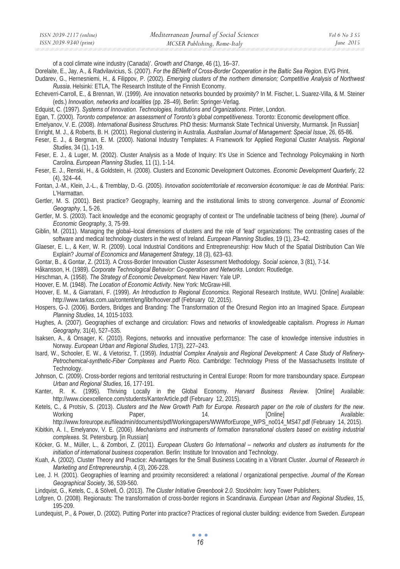| ISSN 2039-2117 (online) | Mediterranean Journal of Social Sciences | Vol 6 No 3 S5 |
|-------------------------|------------------------------------------|---------------|
| ISSN 2039-9340 (print)  | MCSER Publishing, Rome-Italy             | June $2015$   |

of a cool climate wine industry (Canada)'. *Growth and Change*, 46 (1), 16–37.

Dorelaite, E., Jay, A., & Radvilavicius, S. (2007). *For the BENefit of Cross-Border Cooperation in the Baltic Sea Region*. EVG Print.

Dudarev, G., Hernesniemi, H., & Filippov, P. (2002). *Emerging clusters of the northern dimension; Competitive Analysis of Northwest Russia*. Helsinki: ETLA, The Research Institute of the Finnish Economy.

- Echeverri-Carroll, E., & Brennan, W. (1999). Are innovation networks bounded by proximity? In M. Fischer, L. Suarez-Villa, & M. Steiner (eds.) *Innovation, networks and localities* (pp. 28–49). Berlin: Springer-Verlag.
- Edquist, C. (1997). *Systems of Innovation. Technologies, Institutions and Organizations*. Pinter, London.

Egan, T. (2000). *Toronto competence: an assessment of Toronto's global competitiveness*. Toronto: Economic development office.

Emelyanov, V. E. (2008). *International Business Structures*. PhD thesis: Murmansk State Technical University, Murmansk. [in Russian]

Enright, M. J., & Roberts, B. H. (2001). Regional clustering in Australia. *Australian Journal of Management: Special Issue*, 26, 65-86.

Feser, E. J., & Bergman, E. M. (2000). National Industry Templates: A Framework for Applied Regional Cluster Analysis. *Regional Studies*, 34 (1), 1-19.

- Feser, E. J., & Luger, M. (2002). Cluster Analysis as a Mode of Inquiry: It's Use in Science and Technology Policymaking in North Carolina. *European Planning Studies,* 11 (1), 1-14.
- Feser, E. J., Renski, H., & Goldstein, H. (2008). Clusters and Economic Development Outcomes. *Economic Development Quarterly*, 22 (4), 324–44.

Fontan, J.-M., Klein, J.-L., & Tremblay, D.-G. (2005). *Innovation socioterritoriale et reconversion économique: le cas de Montréal.* Paris: L'Harmattan.

- Gertler, M. S. (2001). Best practice? Geography, learning and the institutional limits to strong convergence. *Journal of Economic Geography*, 1, 5-26.
- Gertler, M. S. (2003). Tacit knowledge and the economic geography of context or The undefinable tacitness of being (there). *Journal of Economic Geography*, 3, 75-99.
- Giblin, M. (2011). Managing the global–local dimensions of clusters and the role of 'lead' organizations: The contrasting cases of the software and medical technology clusters in the west of Ireland. *European Planning Studies*, 19 (1), 23–42.

Glaeser, E. L., & Kerr, W. R. (2009). Local Industrial Conditions and Entrepreneurship: How Much of the Spatial Distribution Can We Explain? *Journal of Economics and Management Strategy*, 18 (3), 623–63.

Gontar, B., & Gontar, Z. (2013). A Cross-Border Innovation Cluster Assessment Methodology. *Social science*, 3 (81), 7-14.

Håkansson, H. (1989). *Corporate Technological Behavior: Co-operation and Networks*. London: Routledge.

Hirschman, A. (1958). *The Strategy of Economic Development*. New Haven: Yale UP.

Hoover, E. M. (1948). *The Location of Economic Activity*. New York: McGraw-Hill.

- Hoover, E. M., & Giarratani, F. (1999). *An Introduction to Regional Economics*. Regional Research Institute, WVU. [Online] Available: http://www.tarkas.com.ua/content/eng/libr/hoover.pdf (February 02, 2015).
- Hospers, G-J. (2006). Borders, Bridges and Branding: The Transformation of the Öresund Region into an Imagined Space. *European Planning Studies*, 14, 1015-1033.
- Hughes, A. (2007). Geographies of exchange and circulation: Flows and networks of knowledgeable capitalism. *Progress in Human Geography,* 31(4), 527–535.
- Isaksen, A., & Onsager, K. (2010). Regions, networks and innovative performance: The case of knowledge intensive industries in Norway. *European Urban and Regional Studies,* 17(3), 227–243.
- Isard, W., Schooler, E. W., & Vietorisz, T. (1959). *Industrial Complex Analysis and Regional Development: A Case Study of Refinery-Petrochemical-synthetic-Fiber Complexes and Puerto Rico*. Cambridge: Technology Press of the Massachusetts Institute of Technology.
- Johnson, C. (2009). Cross-border regions and territorial restructuring in Central Europe: Room for more transboundary space. *European Urban and Regional Studies*, 16, 177-191.
- Kanter, R. K. (1995). Thriving Locally in the Global Economy. *Harvard Business Review*. [Online] Available: http://www.cioexcellence.com/students/KanterArticle.pdf (February 12, 2015).
- Ketels, C., & Protsiv, S. (2013). *Clusters and the New Growth Path for Europe. Research paper on the role of clusters for the new*. Working **Paper, 14.** [Online] Available: Available: http://www.foreurope.eu/fileadmin/documents/pdf/Workingpapers/WWWforEurope\_WPS\_no014\_MS47.pdf (February 14, 2015).
- Kibitkin, A. I., Emelyanov, V. E. (2006). *Mechanisms and instruments of formation transnational clusters based on existing industrial complexes*. St. Petersburg. [in Russian]
- Köcker, G. M., Müller, L., & Zombori, Z. (2011). *European Clusters Go International networks and clusters as instruments for the initiation of international business cooperation*. Berlin: Institute for Innovation and Technology.
- Kuah, A. (2002). Cluster Theory and Practice: Advantages for the Small Business Locating in a Vibrant Cluster. *Journal of Research in Marketing and Entrepreneurship*, 4 (3), 206-228.
- Lee, J. H. (2001). Geographies of learning and proximity reconsidered: a relational / organizational perspective. *Journal of the Korean Geographical Society*, 36, 539-560.
- Lindqvist, G., Ketels, C., & Sölvell, Ö. (2013). *The Cluster Initiative Greenbook 2.0*. Stockholm: Ivory Tower Publishers.
- Lofgren, O. (2008). Regionauts: The transformation of cross-border regions in Scandinavia. *European Urban and Regional Studies*, 15, 195-209.
- Lundequist, P., & Power, D. (2002). Putting Porter into practice? Practices of regional cluster building: evidence from Sweden. *European*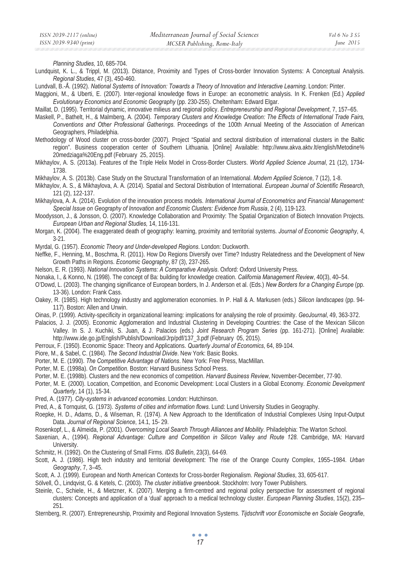*Planning Studies,* 10, 685-704.

- Lundquist, K. L., & Trippl, M. (2013). Distance, Proximity and Types of Cross-border Innovation Systems: A Conceptual Analysis. *Regional Studies*, 47 (3), 450-460.
- Lundvall, B.-Å. (1992). *National Systems of Innovation: Towards a Theory of Innovation and Interactive Learning*. London: Pinter.
- Maggioni, M., & Uberti, E. (2007). Inter-regional knowledge flows in Europe: an econometric analysis. In K. Frenken (Ed.) *Applied Evolutionary Economics and Economic Geography* (pp. 230-255). Cheltenham: Edward Elgar.
- Maillat, D. (1995). Territorial dynamic, innovative milieus and regional policy. *Entrepreneurship and Regional Development*, 7, 157–65.
- Maskell, P., Bathelt, H., & Malmberg, A. (2004). *Temporary Clusters and Knowledge Creation: The Effects of International Trade Fairs, Conventions and Other Professional Gatherings*. Proceedings of the 100th Annual Meeting of the Association of American Geographers, Philadelphia.
- Methodology of Wood cluster on cross-border (2007). Project "Spatial and sectoral distribution of international clusters in the Baltic region". Business cooperation center of Southern Lithuania. [Online] Available: http://www.akva.aktv.lt/english/Metodine% 20medziaga%20Eng.pdf (February 25, 2015).
- Mikhaylov, A. S. (2013a). Features of the Triple Helix Model in Cross-Border Clusters. *World Applied Science Journal*, 21 (12), 1734- 1738.
- Mikhaylov, A. S. (2013b). Case Study on the Structural Transformation of an International. *Modern Applied Science*, 7 (12), 1-8.
- Mikhaylov, A. S., & Mikhaylova, A. A. (2014). Spatial and Sectoral Distribution of International. *European Journal of Scientific Research*, 121 (2), 122-137.
- Mikhaylova, A. Ⱥ. (2014). Evolution of the innovation process models. *International Journal of Econometrics and Financial Management: Special Issue on Geography of Innovation and Economic Clusters: Evidence from Russia*, 2 (4), 119-123.
- Moodysson, J., & Jonsson, O. (2007). Knowledge Collaboration and Proximity: The Spatial Organization of Biotech Innovation Projects. *European Urban and Regional Studies,* 14, 116-131.
- Morgan, K. (2004). The exaggerated death of geography: learning, proximity and territorial systems. *Journal of Economic Geography*, 4, 3-21.
- Myrdal, G. (1957). *Economic Theory and Under-developed Regions*. London: Duckworth.
- Neffke, F., Henning, M., Boschma, R. (2011). How Do Regions Diversify over Time? Industry Relatedness and the Development of New Growth Paths in Regions. *Economic Geography*, 87 (3), 237-265.
- Nelson, E. R. (1993). *National Innovation Systems: A Comparative Analysis*. Oxford: Oxford University Press.
- Nonaka, I., & Konno, N. (1998). The concept of Ba: building for knowledge creation. *California Management Review*, 40(3), 40–54.
- O'Dowd, L. (2003). The changing significance of European borders, In J. Anderson et al. (Eds.) *New Borders for a Changing Europe* (pp. 13-36). London: Frank Cass.
- Oakey, R. (1985). High technology industry and agglomeration economies. In P. Hall & A. Markusen (eds.) *Silicon landscapes* (pp. 94- 117). Boston: Allen and Unwin.
- Oinas, P. (1999). Activity-specificity in organizational learning: implications for analysing the role of proximity. *GeoJournal*, 49, 363-372.
- Palacios, J. J. (2005). Economic Agglomeration and Industrial Clustering in Developing Countries: the Case of the Mexican Silicon Valley. In S. J. Kuchiki, S. Juan, & J. Palacios (eds.) *Joint Research Program Series* (pp. 161-271). [Online] Available: http://www.ide.go.jp/English/Publish/Download/Jrp/pdf/137\_3.pdf (February 05, 2015).
- Perroux, F. (1950). Economic Space: Theory and Applications. *Quarterly Journal of Economics*, 64, 89-104.
- Piore, M., & Sabel, C. (1984). *The Second Industrial Divide*. New York: Basic Books.
- Porter, M. E. (1990). *The Competitive Advantage of Nations*. New York: Free Press, MacMillan.
- Porter, M. E. (1998a). *On Competition.* Boston: Harvard Business School Press.
- Porter, M. E. (1998b). Clusters and the new economics of competition. *Harvard Business Review*, November-December, 77-90.
- Porter, M. E. (2000). Location, Competition, and Economic Development: Local Clusters in a Global Economy. *Economic Development Quarterly*, 14 (1), 15-34.
- Pred, A. (1977). *City-systems in advanced economies*. London: Hutchinson.
- Pred, A., & Tornquist, G. (1973). *Systems of cities and information flows*. Lund: Lund University Studies in Geography.
- Roepke, H. D., Adams, D., & Wiseman, R. (1974). A New Approach to the Identification of Industrial Complexes Using Input-Output Data. *Journal of Regional Science*, 14.1, 15- 29.
- Rosenkopf, L., & Almeida, P. (2001). *Overcoming Local Search Through Alliances and Mobility*. Philadelphia: The Warton School.
- Saxenian, A., (1994). *Regional Advantage: Culture and Competition in Silicon Valley and Route 128*. Cambridge, MA: Harvard University.
- Schmitz, H. (1992). On the Clustering of Small Firms. *IDS Bulletin*, 23(3), 64-69.
- Scott, A. J. (1986). High tech industry and territorial development: The rise of the Orange County Complex, 1955–1984. *Urban Geography*, 7, 3–45.
- Scott, A. J. (1999). European and North American Contexts for Cross-border Regionalism. *Regional Studies*, 33, 605-617.
- Sölvell, Ö., Lindqvist, G. & Ketels, C. (2003). *The cluster initiative greenbook*. Stockholm: Ivory Tower Publishers.
- Steinle, C., Schiele, H., & Mietzner, K. (2007). Merging a firm-centred and regional policy perspective for assessment of regional clusters: Concepts and application of a 'dual' approach to a medical technology cluster. *European Planning Studies*, 15(2), 235– 251.
- Sternberg, R. (2007). Entrepreneurship, Proximity and Regional Innovation Systems. *Tijdschrift voor Economische en Sociale Geografie*,